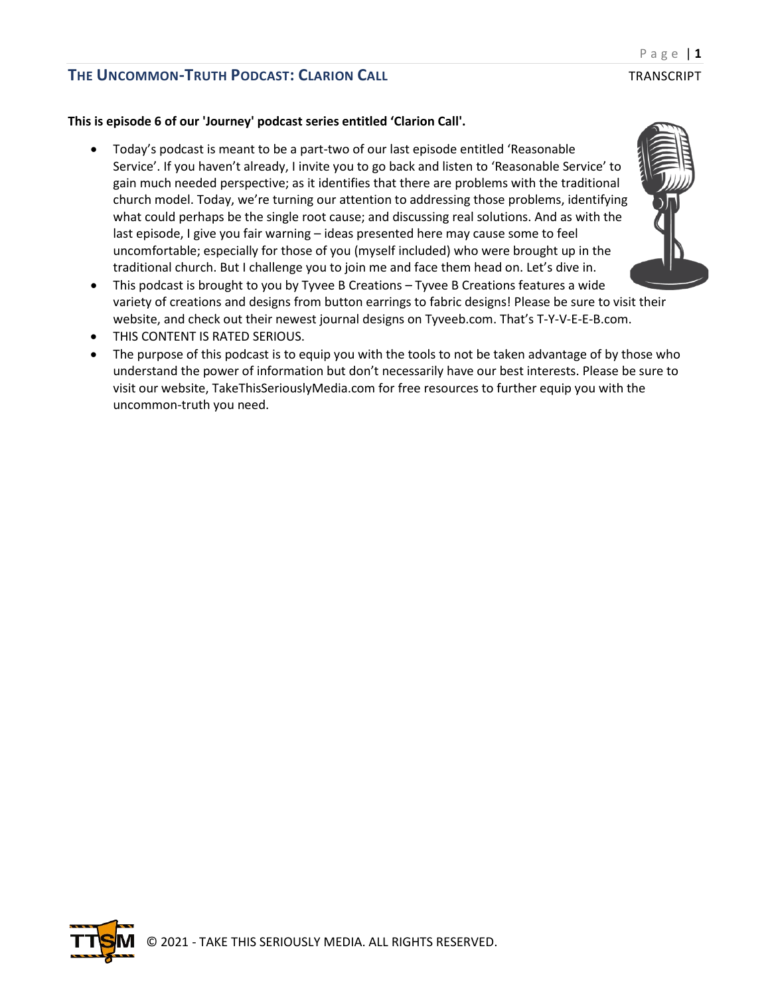### **This is episode 6 of our 'Journey' podcast series entitled 'Clarion Call'.**

- Today's podcast is meant to be a part-two of our last episode entitled 'Reasonable Service'. If you haven't already, I invite you to go back and listen to 'Reasonable Service' to gain much needed perspective; as it identifies that there are problems with the traditional church model. Today, we're turning our attention to addressing those problems, identifying what could perhaps be the single root cause; and discussing real solutions. And as with the last episode, I give you fair warning – ideas presented here may cause some to feel uncomfortable; especially for those of you (myself included) who were brought up in the traditional church. But I challenge you to join me and face them head on. Let's dive in.
- This podcast is brought to you by Tyvee B Creations Tyvee B Creations features a wide variety of creations and designs from button earrings to fabric designs! Please be sure to visit their website, and check out their newest journal designs on Tyveeb.com. That's T-Y-V-E-E-B.com.
- THIS CONTENT IS RATED SERIOUS.
- The purpose of this podcast is to equip you with the tools to not be taken advantage of by those who understand the power of information but don't necessarily have our best interests. Please be sure to visit our website, TakeThisSeriouslyMedia.com for free resources to further equip you with the uncommon-truth you need.

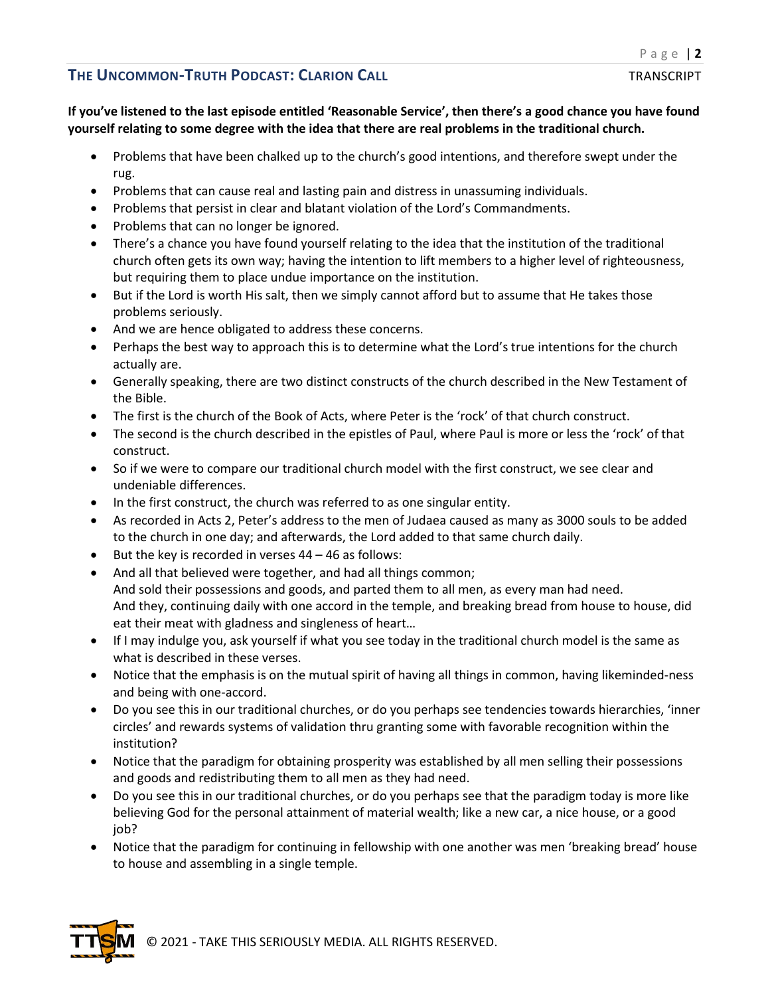### **If you've listened to the last episode entitled 'Reasonable Service', then there's a good chance you have found yourself relating to some degree with the idea that there are real problems in the traditional church.**

- Problems that have been chalked up to the church's good intentions, and therefore swept under the rug.
- Problems that can cause real and lasting pain and distress in unassuming individuals.
- Problems that persist in clear and blatant violation of the Lord's Commandments.
- Problems that can no longer be ignored.
- There's a chance you have found yourself relating to the idea that the institution of the traditional church often gets its own way; having the intention to lift members to a higher level of righteousness, but requiring them to place undue importance on the institution.
- But if the Lord is worth His salt, then we simply cannot afford but to assume that He takes those problems seriously.
- And we are hence obligated to address these concerns.
- Perhaps the best way to approach this is to determine what the Lord's true intentions for the church actually are.
- Generally speaking, there are two distinct constructs of the church described in the New Testament of the Bible.
- The first is the church of the Book of Acts, where Peter is the 'rock' of that church construct.
- The second is the church described in the epistles of Paul, where Paul is more or less the 'rock' of that construct.
- So if we were to compare our traditional church model with the first construct, we see clear and undeniable differences.
- In the first construct, the church was referred to as one singular entity.
- As recorded in Acts 2, Peter's address to the men of Judaea caused as many as 3000 souls to be added to the church in one day; and afterwards, the Lord added to that same church daily.
- But the key is recorded in verses 44 46 as follows:
- And all that believed were together, and had all things common; And sold their possessions and goods, and parted them to all men, as every man had need. And they, continuing daily with one accord in the temple, and breaking bread from house to house, did eat their meat with gladness and singleness of heart…
- If I may indulge you, ask yourself if what you see today in the traditional church model is the same as what is described in these verses.
- Notice that the emphasis is on the mutual spirit of having all things in common, having likeminded-ness and being with one-accord.
- Do you see this in our traditional churches, or do you perhaps see tendencies towards hierarchies, 'inner circles' and rewards systems of validation thru granting some with favorable recognition within the institution?
- Notice that the paradigm for obtaining prosperity was established by all men selling their possessions and goods and redistributing them to all men as they had need.
- Do you see this in our traditional churches, or do you perhaps see that the paradigm today is more like believing God for the personal attainment of material wealth; like a new car, a nice house, or a good job?
- Notice that the paradigm for continuing in fellowship with one another was men 'breaking bread' house to house and assembling in a single temple.

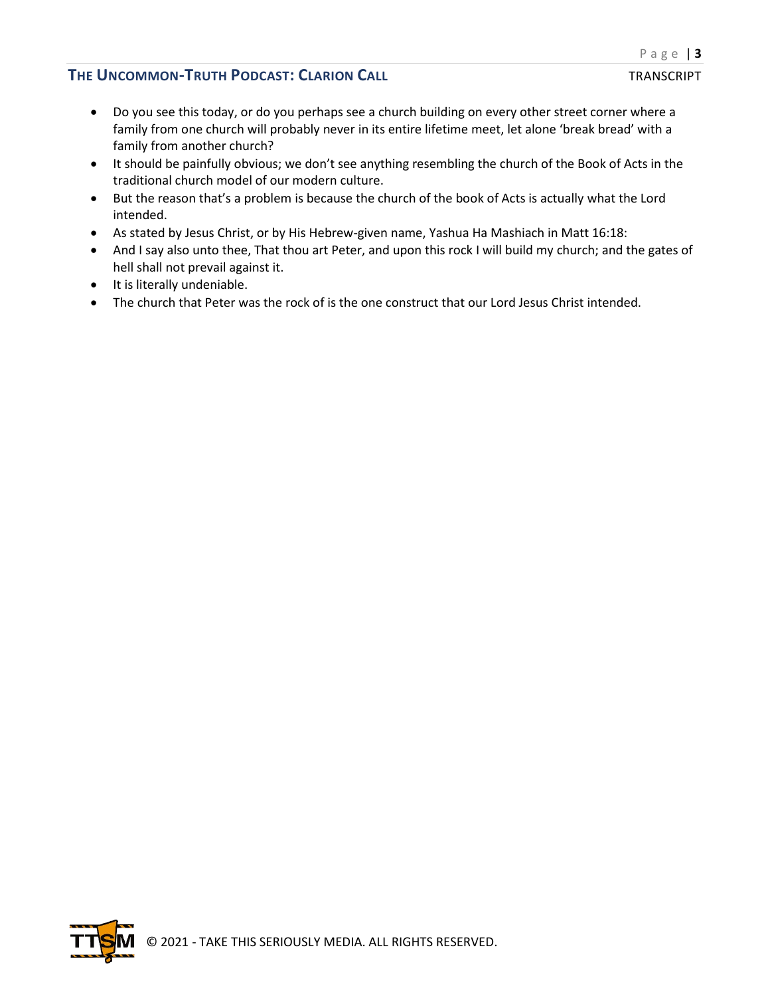- Do you see this today, or do you perhaps see a church building on every other street corner where a family from one church will probably never in its entire lifetime meet, let alone 'break bread' with a family from another church?
- It should be painfully obvious; we don't see anything resembling the church of the Book of Acts in the traditional church model of our modern culture.
- But the reason that's a problem is because the church of the book of Acts is actually what the Lord intended.
- As stated by Jesus Christ, or by His Hebrew-given name, Yashua Ha Mashiach in Matt 16:18:
- And I say also unto thee, That thou art Peter, and upon this rock I will build my church; and the gates of hell shall not prevail against it.
- It is literally undeniable.
- The church that Peter was the rock of is the one construct that our Lord Jesus Christ intended.

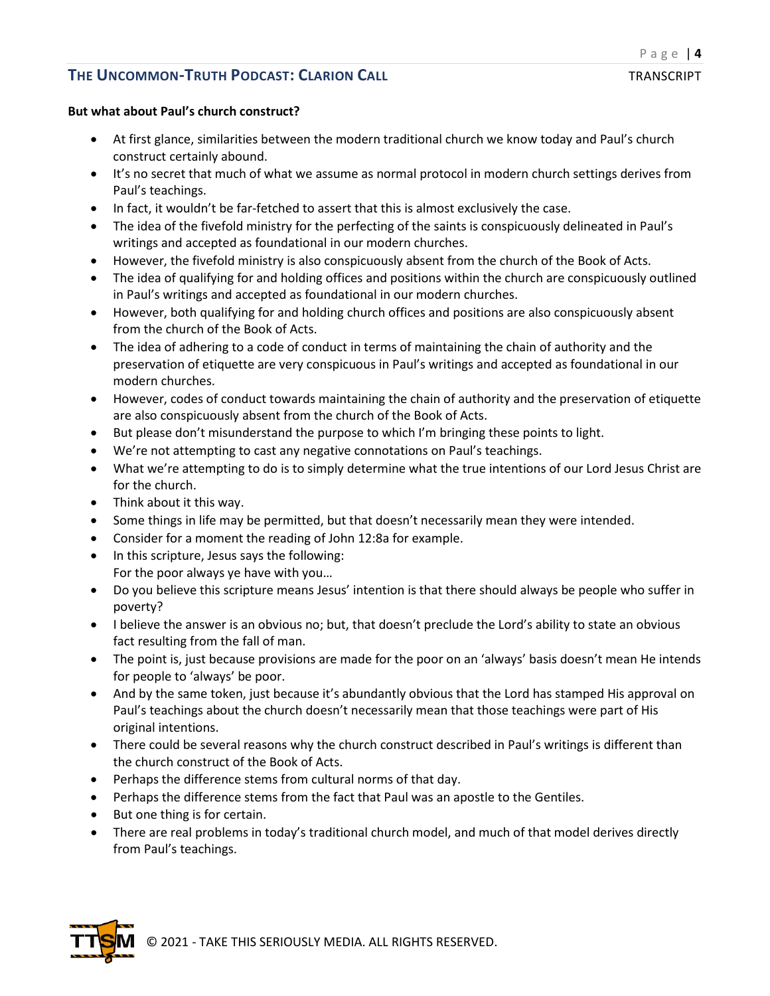### **But what about Paul's church construct?**

- At first glance, similarities between the modern traditional church we know today and Paul's church construct certainly abound.
- It's no secret that much of what we assume as normal protocol in modern church settings derives from Paul's teachings.
- In fact, it wouldn't be far-fetched to assert that this is almost exclusively the case.
- The idea of the fivefold ministry for the perfecting of the saints is conspicuously delineated in Paul's writings and accepted as foundational in our modern churches.
- However, the fivefold ministry is also conspicuously absent from the church of the Book of Acts.
- The idea of qualifying for and holding offices and positions within the church are conspicuously outlined in Paul's writings and accepted as foundational in our modern churches.
- However, both qualifying for and holding church offices and positions are also conspicuously absent from the church of the Book of Acts.
- The idea of adhering to a code of conduct in terms of maintaining the chain of authority and the preservation of etiquette are very conspicuous in Paul's writings and accepted as foundational in our modern churches.
- However, codes of conduct towards maintaining the chain of authority and the preservation of etiquette are also conspicuously absent from the church of the Book of Acts.
- But please don't misunderstand the purpose to which I'm bringing these points to light.
- We're not attempting to cast any negative connotations on Paul's teachings.
- What we're attempting to do is to simply determine what the true intentions of our Lord Jesus Christ are for the church.
- Think about it this way.
- Some things in life may be permitted, but that doesn't necessarily mean they were intended.
- Consider for a moment the reading of John 12:8a for example.
- In this scripture, Jesus says the following: For the poor always ye have with you…
- Do you believe this scripture means Jesus' intention is that there should always be people who suffer in poverty?
- I believe the answer is an obvious no; but, that doesn't preclude the Lord's ability to state an obvious fact resulting from the fall of man.
- The point is, just because provisions are made for the poor on an 'always' basis doesn't mean He intends for people to 'always' be poor.
- And by the same token, just because it's abundantly obvious that the Lord has stamped His approval on Paul's teachings about the church doesn't necessarily mean that those teachings were part of His original intentions.
- There could be several reasons why the church construct described in Paul's writings is different than the church construct of the Book of Acts.
- Perhaps the difference stems from cultural norms of that day.
- Perhaps the difference stems from the fact that Paul was an apostle to the Gentiles.
- But one thing is for certain.
- There are real problems in today's traditional church model, and much of that model derives directly from Paul's teachings.

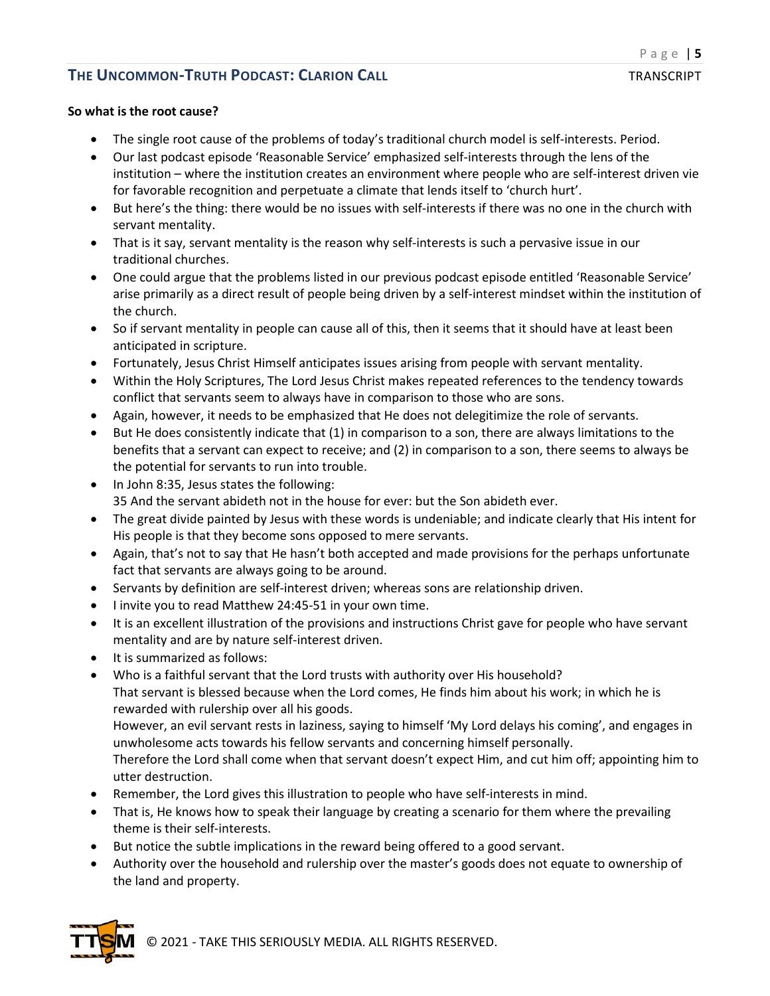### **So what is the root cause?**

- The single root cause of the problems of today's traditional church model is self-interests. Period.
- Our last podcast episode 'Reasonable Service' emphasized self-interests through the lens of the institution – where the institution creates an environment where people who are self-interest driven vie for favorable recognition and perpetuate a climate that lends itself to 'church hurt'.
- But here's the thing: there would be no issues with self-interests if there was no one in the church with servant mentality.
- That is it say, servant mentality is the reason why self-interests is such a pervasive issue in our traditional churches.
- One could argue that the problems listed in our previous podcast episode entitled 'Reasonable Service' arise primarily as a direct result of people being driven by a self-interest mindset within the institution of the church.
- So if servant mentality in people can cause all of this, then it seems that it should have at least been anticipated in scripture.
- Fortunately, Jesus Christ Himself anticipates issues arising from people with servant mentality.
- Within the Holy Scriptures, The Lord Jesus Christ makes repeated references to the tendency towards conflict that servants seem to always have in comparison to those who are sons.
- Again, however, it needs to be emphasized that He does not delegitimize the role of servants.
- But He does consistently indicate that (1) in comparison to a son, there are always limitations to the benefits that a servant can expect to receive; and (2) in comparison to a son, there seems to always be the potential for servants to run into trouble.
- In John 8:35, Jesus states the following: 35 And the servant abideth not in the house for ever: but the Son abideth ever.
- The great divide painted by Jesus with these words is undeniable; and indicate clearly that His intent for His people is that they become sons opposed to mere servants.
- Again, that's not to say that He hasn't both accepted and made provisions for the perhaps unfortunate fact that servants are always going to be around.
- Servants by definition are self-interest driven; whereas sons are relationship driven.
- I invite you to read Matthew 24:45-51 in your own time.
- It is an excellent illustration of the provisions and instructions Christ gave for people who have servant mentality and are by nature self-interest driven.
- It is summarized as follows:
- Who is a faithful servant that the Lord trusts with authority over His household? That servant is blessed because when the Lord comes, He finds him about his work; in which he is rewarded with rulership over all his goods.

However, an evil servant rests in laziness, saying to himself 'My Lord delays his coming', and engages in unwholesome acts towards his fellow servants and concerning himself personally.

Therefore the Lord shall come when that servant doesn't expect Him, and cut him off; appointing him to utter destruction.

- Remember, the Lord gives this illustration to people who have self-interests in mind.
- That is, He knows how to speak their language by creating a scenario for them where the prevailing theme is their self-interests.
- But notice the subtle implications in the reward being offered to a good servant.
- Authority over the household and rulership over the master's goods does not equate to ownership of the land and property.



© 2021 - TAKE THIS SERIOUSLY MEDIA. ALL RIGHTS RESERVED.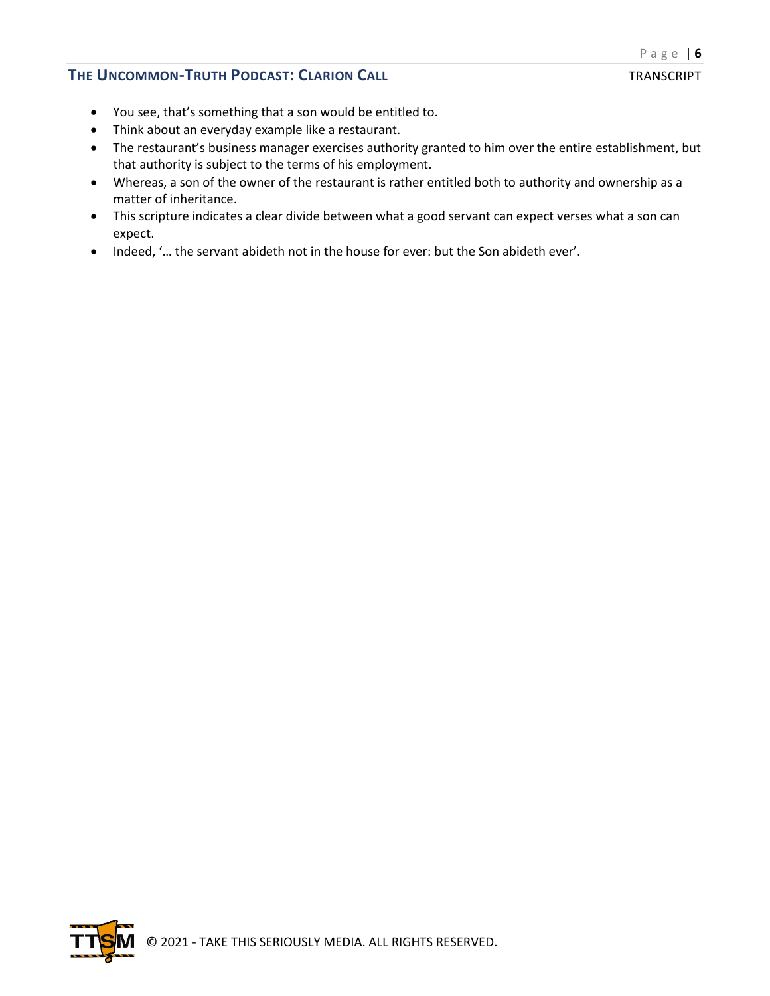### **THE UNCOMMON-TRUTH PODCAST: CLARION CALL THE UNCOMMON-TRANSCRIPT**

- You see, that's something that a son would be entitled to.
- Think about an everyday example like a restaurant.
- The restaurant's business manager exercises authority granted to him over the entire establishment, but that authority is subject to the terms of his employment.
- Whereas, a son of the owner of the restaurant is rather entitled both to authority and ownership as a matter of inheritance.
- This scripture indicates a clear divide between what a good servant can expect verses what a son can expect.
- Indeed, '… the servant abideth not in the house for ever: but the Son abideth ever'.